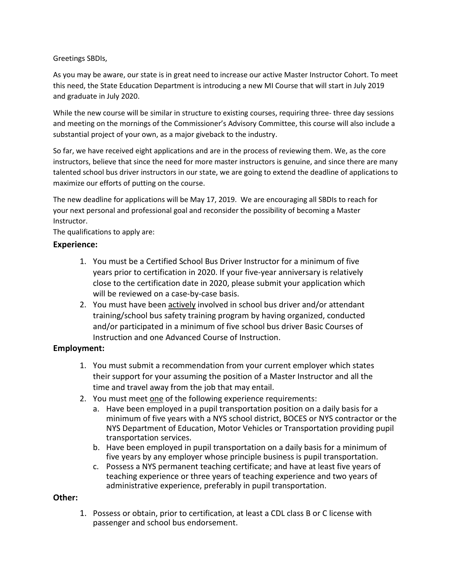Greetings SBDIs,

As you may be aware, our state is in great need to increase our active Master Instructor Cohort. To meet this need, the State Education Department is introducing a new MI Course that will start in July 2019 and graduate in July 2020.

While the new course will be similar in structure to existing courses, requiring three- three day sessions and meeting on the mornings of the Commissioner's Advisory Committee, this course will also include a substantial project of your own, as a major giveback to the industry.

So far, we have received eight applications and are in the process of reviewing them. We, as the core instructors, believe that since the need for more master instructors is genuine, and since there are many talented school bus driver instructors in our state, we are going to extend the deadline of applications to maximize our efforts of putting on the course.

The new deadline for applications will be May 17, 2019. We are encouraging all SBDIs to reach for your next personal and professional goal and reconsider the possibility of becoming a Master Instructor.

The qualifications to apply are:

## **Experience:**

- 1. You must be a Certified School Bus Driver Instructor for a minimum of five years prior to certification in 2020. If your five-year anniversary is relatively close to the certification date in 2020, please submit your application which will be reviewed on a case-by-case basis.
- 2. You must have been actively involved in school bus driver and/or attendant training/school bus safety training program by having organized, conducted and/or participated in a minimum of five school bus driver Basic Courses of Instruction and one Advanced Course of Instruction.

## **Employment:**

- 1. You must submit a recommendation from your current employer which states their support for your assuming the position of a Master Instructor and all the time and travel away from the job that may entail.
- 2. You must meet one of the following experience requirements:
	- a. Have been employed in a pupil transportation position on a daily basis for a minimum of five years with a NYS school district, BOCES or NYS contractor or the NYS Department of Education, Motor Vehicles or Transportation providing pupil transportation services.
	- b. Have been employed in pupil transportation on a daily basis for a minimum of five years by any employer whose principle business is pupil transportation.
	- c. Possess a NYS permanent teaching certificate; and have at least five years of teaching experience or three years of teaching experience and two years of administrative experience, preferably in pupil transportation.

## **Other:**

1. Possess or obtain, prior to certification, at least a CDL class B or C license with passenger and school bus endorsement.